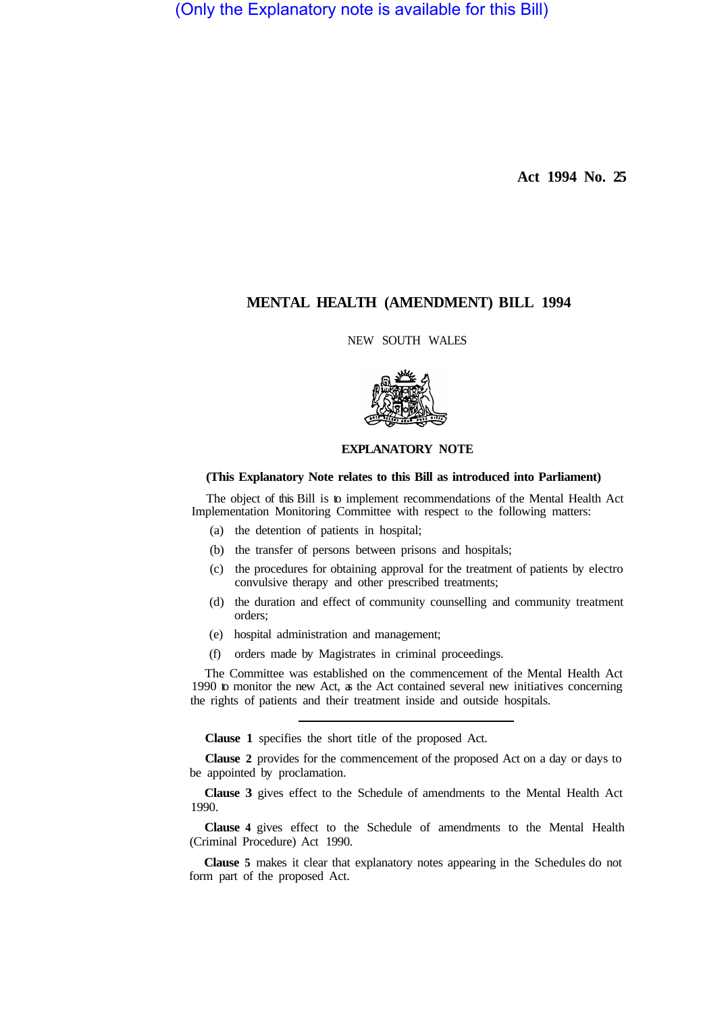(Only the Explanatory note is available for this Bill)

**Act 1994 No. 25** 

# **MENTAL HEALTH (AMENDMENT) BILL 1994**

NEW SOUTH WALES



#### **EXPLANATORY NOTE**

#### **(This Explanatory Note relates to this Bill as introduced into Parliament)**

The object of this Bill is to implement recommendations of the Mental Health Act Implementation Monitoring Committee with respect to the following matters:

- (a) the detention of patients in hospital;
- (b) the transfer of persons between prisons and hospitals;
- (c) the procedures for obtaining approval for the treatment of patients by electro convulsive therapy and other prescribed treatments;
- (d) the duration and effect of community counselling and community treatment orders;
- (e) hospital administration and management;
- (f) orders made by Magistrates in criminal proceedings.

The Committee was established on the commencement of the Mental Health Act 1990 to monitor the new Act, as the Act contained several new initiatives concerning the rights of patients and their treatment inside and outside hospitals.

**Clause 1** specifies the short title of the proposed Act.

**Clause 2** provides for the commencement of the proposed Act on a day or days to be appointed by proclamation.

**Clause 3** gives effect to the Schedule of amendments to the Mental Health Act 1990.

**Clause 4** gives effect to the Schedule of amendments to the Mental Health (Criminal Procedure) Act 1990.

**Clause 5** makes it clear that explanatory notes appearing in the Schedules do not form part of the proposed Act.